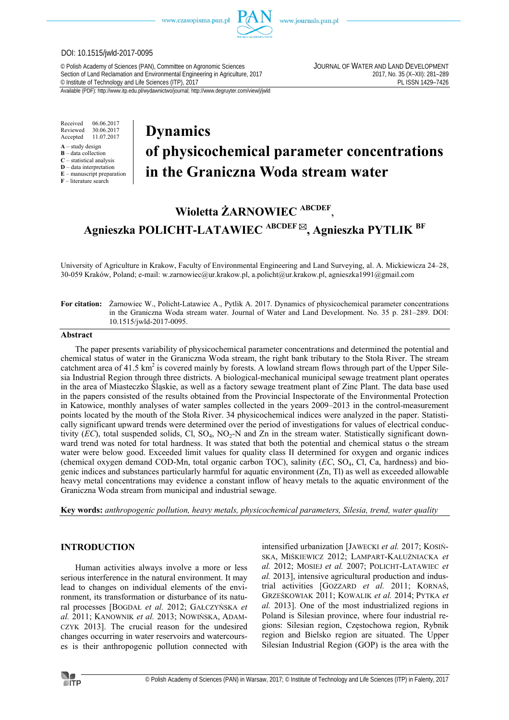

www.journals.pan.pl

#### DOI: 10.1515/jwld-2017-0095

© Polish Academy of Sciences (PAN), Committee on Agronomic Sciences JOURNAL OF WATER AND LAND DEVELOPMENT Section of Land Reclamation and Environmental Engineering in Agriculture, 2017<br>
© Institute of Technology and Life Sciences (ITP), 2017<br>
PL ISSN 1429-7426 <sup>©</sup> Institute of Technology and Life Sciences (ITP), 2017

Available (PDF): http://www.itp.edu.pl/wydawnictwo/journal; http://www.degruyter.com/view/j/jwld

Received 06.06.2017 Reviewed 30.06.2017<br>Accepted 11.07.2017 Accepted 11.07.2017

- **A** study design
- **B** data collection **C** – statistical analysis
- **D** data interpretation
- **E** manuscript preparation
- **F** literature search

# **Dynamics of physicochemical parameter concentrations in the Graniczna Woda stream water**

## **Wioletta ŻARNOWIEC ABCDEF**,

**Agnieszka POLICHT-LATAWIEC ABCDEF , Agnieszka PYTLIK BF**

University of Agriculture in Krakow, Faculty of Environmental Engineering and Land Surveying, al. A. Mickiewicza 24–28, 30-059 Kraków, Poland; e-mail: w.zarnowiec@ur.krakow.pl, a.policht@ur.krakow.pl, agnieszka1991@gmail.com

#### **For citation:** Żarnowiec W., Policht-Latawiec A., Pytlik A. 2017. Dynamics of physicochemical parameter concentrations in the Graniczna Woda stream water. Journal of Water and Land Development. No. 35 p. 281–289. DOI: 10.1515/jwld-2017-0095.

#### **Abstract**

The paper presents variability of physicochemical parameter concentrations and determined the potential and chemical status of water in the Graniczna Woda stream, the right bank tributary to the Stoła River. The stream catchment area of 41.5 km<sup>2</sup> is covered mainly by forests. A lowland stream flows through part of the Upper Silesia Industrial Region through three districts. A biological-mechanical municipal sewage treatment plant operates in the area of Miasteczko Śląskie, as well as a factory sewage treatment plant of Zinc Plant. The data base used in the papers consisted of the results obtained from the Provincial Inspectorate of the Environmental Protection in Katowice, monthly analyses of water samples collected in the years 2009–2013 in the control-measurement points located by the mouth of the Stoła River. 34 physicochemical indices were analyzed in the paper. Statistically significant upward trends were determined over the period of investigations for values of electrical conductivity  $(EC)$ , total suspended solids, Cl,  $SO_4$ ,  $NO_2$ -N and Zn in the stream water. Statistically significant downward trend was noted for total hardness. It was stated that both the potential and chemical status o the stream water were below good. Exceeded limit values for quality class II determined for oxygen and organic indices (chemical oxygen demand COD-Mn, total organic carbon TOC), salinity (*EC*, SO4, Cl, Ca, hardness) and biogenic indices and substances particularly harmful for aquatic environment (Zn, Tl) as well as exceeded allowable heavy metal concentrations may evidence a constant inflow of heavy metals to the aquatic environment of the Graniczna Woda stream from municipal and industrial sewage.

**Key words:** *anthropogenic pollution, heavy metals, physicochemical parameters, Silesia, trend, water quality* 

#### **INTRODUCTION**

Human activities always involve a more or less serious interference in the natural environment. It may lead to changes on individual elements of the environment, its transformation or disturbance of its natural processes [BOGDAŁ *et al.* 2012; GAŁCZYŃSKA *et al.* 2011; KANOWNIK *et al.* 2013; NOWIŃSKA, ADAM-CZYK 2013]. The crucial reason for the undesired changes occurring in water reservoirs and watercourses is their anthropogenic pollution connected with intensified urbanization [JAWECKI *et al.* 2017; KOSIŃ-SKA, MIŚKIEWICZ 2012; LAMPART-KAŁUŻNIACKA *et al.* 2012; MOSIEJ *et al.* 2007; POLICHT-LATAWIEC *et al.* 2013], intensive agricultural production and industrial activities [GOZZARD *et al.* 2011; KORNAŚ, GRZEŚKOWIAK 2011; KOWALIK *et al.* 2014; PYTKA *et al.* 2013]. One of the most industrialized regions in Poland is Silesian province, where four industrial regions: Silesian region, Częstochowa region, Rybnik region and Bielsko region are situated. The Upper Silesian Industrial Region (GOP) is the area with the

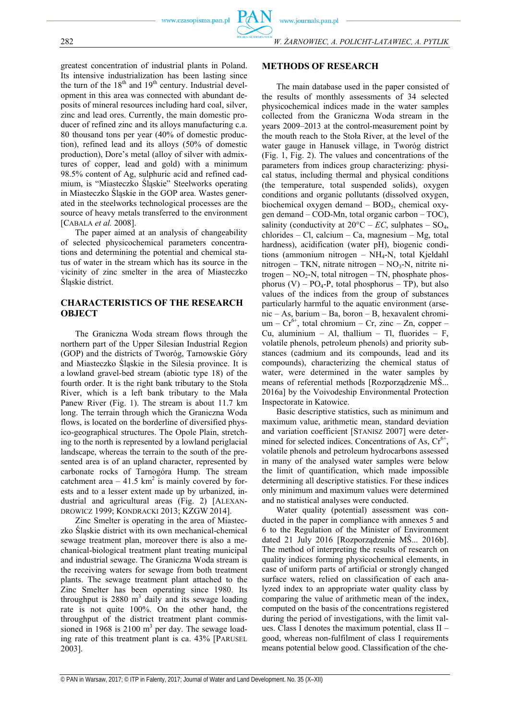greatest concentration of industrial plants in Poland. Its intensive industrialization has been lasting since the turn of the  $18<sup>th</sup>$  and  $19<sup>th</sup>$  century. Industrial development in this area was connected with abundant deposits of mineral resources including hard coal, silver, zinc and lead ores. Currently, the main domestic producer of refined zinc and its alloys manufacturing c.a. 80 thousand tons per year (40% of domestic production), refined lead and its alloys (50% of domestic production), Dore's metal (alloy of silver with admixtures of copper, lead and gold) with a minimum 98.5% content of Ag, sulphuric acid and refined cadmium, is "Miasteczko Śląskie" Steelworks operating in Miasteczko Śląskie in the GOP area. Wastes generated in the steelworks technological processes are the source of heavy metals transferred to the environment [CABALA *et al.* 2008].

The paper aimed at an analysis of changeability of selected physicochemical parameters concentrations and determining the potential and chemical status of water in the stream which has its source in the vicinity of zinc smelter in the area of Miasteczko Śląskie district.

### **CHARACTERISTICS OF THE RESEARCH OBJECT**

The Graniczna Woda stream flows through the northern part of the Upper Silesian Industrial Region (GOP) and the districts of Tworóg, Tarnowskie Góry and Miasteczko Śląskie in the Silesia province. It is a lowland gravel-bed stream (abiotic type 18) of the fourth order. It is the right bank tributary to the Stoła River, which is a left bank tributary to the Mała Panew River (Fig. 1). The stream is about 11.7 km long. The terrain through which the Graniczna Woda flows, is located on the borderline of diversified physico-geographical structures. The Opole Plain, stretching to the north is represented by a lowland periglacial landscape, whereas the terrain to the south of the presented area is of an upland character, represented by carbonate rocks of Tarnogóra Hump. The stream catchment area  $-41.5 \text{ km}^2$  is mainly covered by forests and to a lesser extent made up by urbanized, industrial and agricultural areas (Fig. 2) [ALEXAN-DROWICZ 1999; KONDRACKI 2013; KZGW 2014].

Zinc Smelter is operating in the area of Miasteczko Śląskie district with its own mechanical-chemical sewage treatment plan, moreover there is also a mechanical-biological treatment plant treating municipal and industrial sewage. The Graniczna Woda stream is the receiving waters for sewage from both treatment plants. The sewage treatment plant attached to the Zinc Smelter has been operating since 1980. Its throughput is  $2880 \text{ m}^3$  daily and its sewage loading rate is not quite 100%. On the other hand, the throughput of the district treatment plant commissioned in 1968 is 2100  $m<sup>3</sup>$  per day. The sewage loading rate of this treatment plant is ca. 43% [PARUSEL 2003].

#### **METHODS OF RESEARCH**

The main database used in the paper consisted of the results of monthly assessments of 34 selected physicochemical indices made in the water samples collected from the Graniczna Woda stream in the years 2009–2013 at the control-measurement point by the mouth reach to the Stoła River, at the level of the water gauge in Hanusek village, in Tworóg district (Fig. 1, Fig. 2). The values and concentrations of the parameters from indices group characterizing: physical status, including thermal and physical conditions (the temperature, total suspended solids), oxygen conditions and organic pollutants (dissolved oxygen, biochemical oxygen demand  $-$  BOD<sub>5</sub>, chemical oxygen demand – COD-Mn, total organic carbon – TOC), salinity (conductivity at  $20^{\circ}C - EC$ , sulphates – SO<sub>4</sub>, chlorides – Cl, calcium – Ca, magnesium – Mg, total hardness), acidification (water pH), biogenic conditions (ammonium nitrogen –  $NH_4$ -N, total Kjeldahl nitrogen – TKN, nitrate nitrogen – NO<sub>3</sub>-N, nitrite nitrogen –  $NO<sub>2</sub>$ -N, total nitrogen – TN, phosphate phosphorus (V) –  $PO_4-P$ , total phosphorus – TP), but also values of the indices from the group of substances particularly harmful to the aquatic environment (arsenic – As, barium – Ba, boron – B, hexavalent chromium –  $Cr^{6+}$ , total chromium – Cr, zinc – Zn, copper – Cu, aluminium – Al, thallium – Tl, fluorides – F, volatile phenols, petroleum phenols) and priority substances (cadmium and its compounds, lead and its compounds), characterizing the chemical status of water, were determined in the water samples by means of referential methods [Rozporządzenie MŚ... 2016a] by the Voivodeship Environmental Protection Inspectorate in Katowice.

Basic descriptive statistics, such as minimum and maximum value, arithmetic mean, standard deviation and variation coefficient [STANISZ 2007] were determined for selected indices. Concentrations of As,  $Cr^{6+}$ , volatile phenols and petroleum hydrocarbons assessed in many of the analysed water samples were below the limit of quantification, which made impossible determining all descriptive statistics. For these indices only minimum and maximum values were determined and no statistical analyses were conducted.

Water quality (potential) assessment was conducted in the paper in compliance with annexes 5 and 6 to the Regulation of the Minister of Environment dated 21 July 2016 [Rozporządzenie MŚ... 2016b]. The method of interpreting the results of research on quality indices forming physicochemical elements, in case of uniform parts of artificial or strongly changed surface waters, relied on classification of each analyzed index to an appropriate water quality class by comparing the value of arithmetic mean of the index, computed on the basis of the concentrations registered during the period of investigations, with the limit values. Class I denotes the maximum potential, class II – good, whereas non-fulfilment of class I requirements means potential below good. Classification of the che-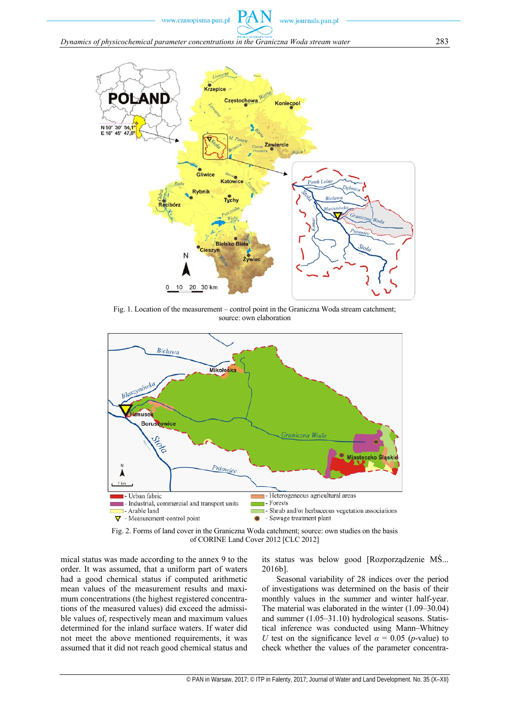

Fig. 1. Location of the measurement – control point in the Graniczna Woda stream catchment; source: own elaboration



Fig. 2. Forms of land cover in the Graniczna Woda catchment; source: own studies on the basis of CORINE Land Cover 2012 [CLC 2012]

mical status was made according to the annex 9 to the order. It was assumed, that a uniform part of waters had a good chemical status if computed arithmetic mean values of the measurement results and maximum concentrations (the highest registered concentrations of the measured values) did exceed the admissible values of, respectively mean and maximum values determined for the inland surface waters. If water did not meet the above mentioned requirements, it was assumed that it did not reach good chemical status and its status was below good [Rozporządzenie MŚ... 2016b].

Seasonal variability of 28 indices over the period of investigations was determined on the basis of their monthly values in the summer and winter half-year. The material was elaborated in the winter (1.09–30.04) and summer (1.05–31.10) hydrological seasons. Statistical inference was conducted using Mann–Whitney *U* test on the significance level  $\alpha = 0.05$  (*p*-value) to check whether the values of the parameter concentra-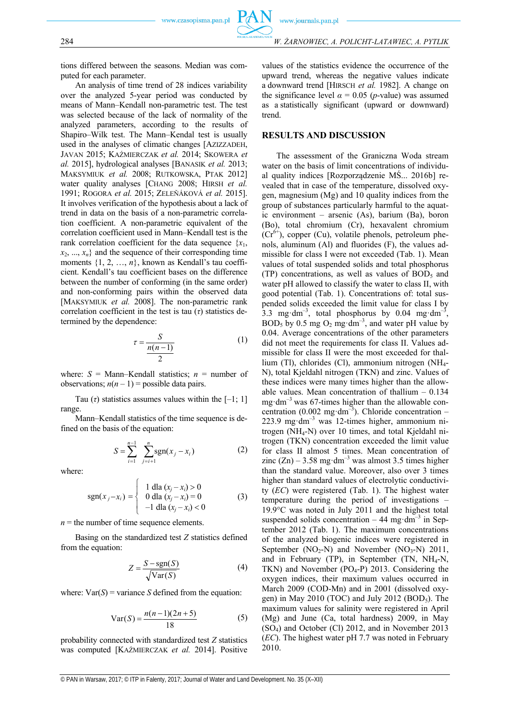tions differed between the seasons. Median was computed for each parameter.

An analysis of time trend of 28 indices variability over the analyzed 5-year period was conducted by means of Mann–Kendall non-parametric test. The test was selected because of the lack of normality of the analyzed parameters, according to the results of Shapiro–Wilk test. The Mann–Kendal test is usually used in the analyses of climatic changes [AZIZZADEH, JAVAN 2015; KAŹMIERCZAK *et al.* 2014; SKOWERA *et al.* 2015], hydrological analyses [BANASIK *et al.* 2013; MAKSYMIUK *et al.* 2008; RUTKOWSKA, PTAK 2012] water quality analyses [CHANG 2008; HIRSH *et al.* 1991; ROGORA *et al.* 2015; ZELEŇÁKOVÁ *et al.* 2015]. It involves verification of the hypothesis about a lack of trend in data on the basis of a non-parametric correlation coefficient. A non-parametric equivalent of the correlation coefficient used in Mann–Kendall test is the rank correlation coefficient for the data sequence  $\{x_1, x_2, \dots, x_n\}$  $x_2, \ldots, x_n$  and the sequence of their corresponding time moments  $\{1, 2, ..., n\}$ , known as Kendall's tau coefficient. Kendall's tau coefficient bases on the difference between the number of conforming (in the same order) and non-conforming pairs within the observed data [MAKSYMIUK et al. 2008]. The non-parametric rank correlation coefficient in the test is tau (*τ*) statistics determined by the dependence:

$$
\tau = \frac{S}{\frac{n(n-1)}{2}}\tag{1}
$$

where:  $S =$  Mann–Kendall statistics;  $n =$  number of observations;  $n(n-1)$  = possible data pairs.

Tau  $(\tau)$  statistics assumes values within the  $[-1; 1]$ range.

Mann–Kendall statistics of the time sequence is defined on the basis of the equation:

$$
S = \sum_{i=1}^{n-1} \sum_{j=i+1}^{n} \text{sgn}(x_j - x_i)
$$
 (2)

where:

$$
sgn(x_j - x_i) = \begin{cases} 1 \text{ dla } (x_j - x_i) > 0 \\ 0 \text{ dla } (x_j - x_i) = 0 \\ -1 \text{ dla } (x_j - x_i) < 0 \end{cases}
$$
 (3)

 $n =$  the number of time sequence elements.

Basing on the standardized test *Z* statistics defined from the equation:

$$
Z = \frac{S - \text{sgn}(S)}{\sqrt{\text{Var}(S)}}\tag{4}
$$

where:  $Var(S)$  = variance *S* defined from the equation:

$$
Var(S) = \frac{n(n-1)(2n+5)}{18}
$$
 (5)

probability connected with standardized test *Z* statistics was computed [KAŹMIERCZAK *et al.* 2014]. Positive values of the statistics evidence the occurrence of the upward trend, whereas the negative values indicate a downward trend [HIRSCH *et al.* 1982]. A change on the significance level  $\alpha = 0.05$  (*p*-value) was assumed as a statistically significant (upward or downward) trend.

#### **RESULTS AND DISCUSSION**

The assessment of the Graniczna Woda stream water on the basis of limit concentrations of individual quality indices [Rozporządzenie MŚ... 2016b] revealed that in case of the temperature, dissolved oxygen, magnesium (Mg) and 10 quality indices from the group of substances particularly harmful to the aquatic environment – arsenic (As), barium (Ba), boron (Bo), total chromium (Cr), hexavalent chromium  $(Cr^{6+})$ , copper (Cu), volatile phenols, petroleum phenols, aluminum (Al) and fluorides (F), the values admissible for class I were not exceeded (Tab. 1). Mean values of total suspended solids and total phosphorus (TP) concentrations, as well as values of  $BOD<sub>5</sub>$  and water pH allowed to classify the water to class II, with good potential (Tab. 1). Concentrations of: total suspended solids exceeded the limit value for class I by 3.3 mg·dm<sup>-3</sup>, total phosphorus by 0.04 mg·dm<sup>-3</sup>, BOD<sub>5</sub> by 0.5 mg O<sub>2</sub> mg·dm<sup>-3</sup>, and water pH value by 0.04. Average concentrations of the other parameters did not meet the requirements for class II. Values admissible for class II were the most exceeded for thallium (Tl), chlorides (Cl), ammonium nitrogen (NH4- N), total Kjeldahl nitrogen (TKN) and zinc. Values of these indices were many times higher than the allowable values. Mean concentration of thallium – 0.134 mg·dm<sup>-3</sup> was 67-times higher than the allowable concentration (0.002 mg·dm<sup>-3</sup>). Chloride concentration – 223.9 mg·dm<sup>-3</sup> was 12-times higher, ammonium nitrogen (NH<sub>4</sub>-N) over 10 times, and total Kjeldahl nitrogen (TKN) concentration exceeded the limit value for class II almost 5 times. Mean concentration of zinc  $(Zn)$  – 3.58 mg·dm<sup>-3</sup> was almost 3.5 times higher than the standard value. Moreover, also over 3 times higher than standard values of electrolytic conductivity (*EC*) were registered (Tab. 1). The highest water temperature during the period of investigations – 19.9°C was noted in July 2011 and the highest total suspended solids concentration – 44 mg·dm<sup>-3</sup> in September 2012 (Tab. 1). The maximum concentrations of the analyzed biogenic indices were registered in September  $(NO<sub>2</sub>-N)$  and November  $(NO<sub>3</sub>-N)$  2011, and in February (TP), in September (TN,  $NH<sub>4</sub>-N$ , TKN) and November ( $PO_4-P$ ) 2013. Considering the oxygen indices, their maximum values occurred in March 2009 (COD-Mn) and in 2001 (dissolved oxygen) in May 2010 (TOC) and July 2012 (BOD<sub>5</sub>). The maximum values for salinity were registered in April (Mg) and June (Ca, total hardness) 2009, in May (SO4) and October (Cl) 2012, and in November 2013 (*EC*). The highest water pH 7.7 was noted in February 2010.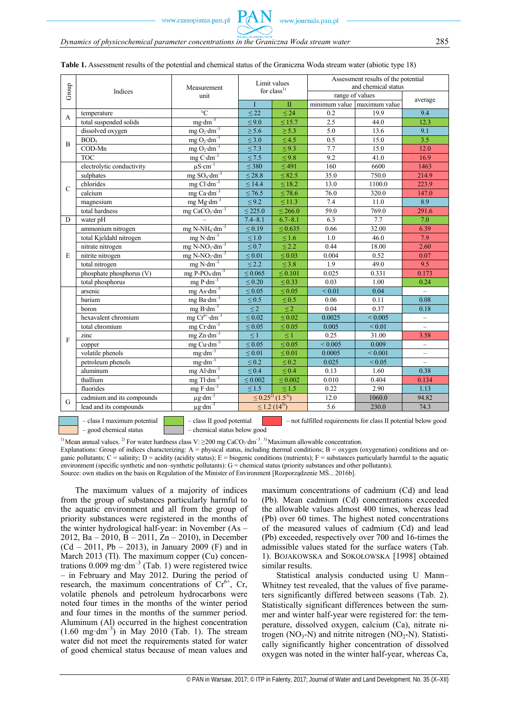|               | Indices                                                                                                              | Measurement                                     | Limit values<br>for $class1$   |                                              | Assessment results of the potential<br>and chemical status |                             |                          |  |
|---------------|----------------------------------------------------------------------------------------------------------------------|-------------------------------------------------|--------------------------------|----------------------------------------------|------------------------------------------------------------|-----------------------------|--------------------------|--|
| Group         |                                                                                                                      | unit                                            |                                |                                              | range of values                                            |                             |                          |  |
|               |                                                                                                                      |                                                 | $\mathbf I$                    | $\overline{\mathbf{u}}$                      |                                                            | minimum value maximum value | average                  |  |
|               | temperature                                                                                                          | $\rm ^{\circ}C$                                 | $\leq 22$                      | $\leq 24$                                    | 0.2                                                        | 19.9                        | 9.4                      |  |
| A             | total suspended solids                                                                                               | $mg \cdot dm^{-3}$                              | $\leq 9.0$                     | $\leq$ 15.7                                  | 2.5                                                        | 44.0                        | 12.3                     |  |
| B             | dissolved oxygen                                                                                                     | mg O <sub>2</sub> ·dm <sup>-3</sup>             | $\geq$ 5.6                     | $\geq$ 5.3                                   | 5.0                                                        | 13.6                        | 9.1                      |  |
|               | BOD <sub>5</sub>                                                                                                     | mg $O_2$ ·dm <sup>-3</sup>                      | $\leq 3.0$                     | $\leq 4.5$                                   | 0.5                                                        | 15.0                        | 3.5                      |  |
|               | COD-Mn                                                                                                               | mg $O_2$ ·dm <sup>-3</sup>                      | $\leq 7.3$                     | $\leq 9.3$                                   | 7.7                                                        | 15.0                        | 12.0                     |  |
|               | <b>TOC</b>                                                                                                           | $mg \text{ C} \cdot dm^{-3}$                    | $\leq 7.5$                     | $\leq 9.8$                                   | 9.2                                                        | 41.0                        | 16.9                     |  |
|               | electrolytic conductivity                                                                                            | $\mu$ S·cm <sup>-1</sup>                        | $\leq$ 380                     | $\leq 491$                                   | 160                                                        | 6600                        | 1463                     |  |
|               | sulphates                                                                                                            | $mg$ SO <sub>4</sub> ·dm <sup>-3</sup>          | $\leq$ 28.8                    | $\leq 82.5$                                  | 35.0                                                       | 750.0                       | 214.9                    |  |
| $\mathcal{C}$ | chlorides                                                                                                            | $mg$ Cl·dm <sup>-3</sup>                        | $\leq$ 14.4                    | $\leq 18.2$                                  | 13.0                                                       | 1100.0                      | 223.9                    |  |
|               | calcium                                                                                                              | mg $Ca·dm^{-3}$                                 | $\leq 76.5$                    | $\leq 78.6$                                  | 76.0                                                       | 320.0                       | 147.0                    |  |
|               | magnesium                                                                                                            | $mg Mg \cdot dm^{-3}$                           | $\leq 9.2$                     | $\leq 11.3$                                  | 7.4                                                        | 11.0                        | 8.9                      |  |
|               | total hardness                                                                                                       | mg $CaCO$ <sub>3</sub> $dm^{-3}$                | $\leq$ 225.0                   | $\leq$ 266.0                                 | 59.0                                                       | 769.0                       | 291.6                    |  |
| D             | water pH                                                                                                             |                                                 | $7.4 - 8.1$                    | $6.7 - 8.1$                                  | 6.3                                                        | 7.7                         | 7.0                      |  |
|               | ammonium nitrogen                                                                                                    | $mg$ N-NH <sub>4</sub> $\cdot$ dm <sup>-3</sup> | $\leq 0.19$                    | ${}_{0.635}$                                 | 0.66                                                       | 32.00                       | 6.39                     |  |
|               | total Kjeldahl nitrogen                                                                                              | $mg$ N·dm <sup>-3</sup>                         | $\leq 1.0$                     | $\leq 1.6$                                   | $1.0\,$                                                    | 46.0                        | 7.9                      |  |
|               | nitrate nitrogen                                                                                                     | $mg$ N-NO <sub>3</sub> $\cdot$ dm <sup>-3</sup> | $\leq 0.7$                     | $\leq$ 2.2                                   | 0.44                                                       | 18.00                       | 2.60                     |  |
| E             | nitrite nitrogen                                                                                                     | $mg$ N-NO <sub>2</sub> ·dm <sup>-3</sup>        | $\leq 0.01$                    | $\leq 0.03$                                  | 0.004                                                      | 0.52                        | 0.07                     |  |
|               | total nitrogen                                                                                                       | $mg$ N·dm <sup>-3</sup>                         | $\leq$ 2.2                     | $\leq$ 3.8                                   | 1.9                                                        | 49.0                        | 9.5                      |  |
|               | phosphate phosphorus (V)                                                                                             | $mgP-PO4·dm-3$                                  | $\leq 0.065$                   | $\leq 0.101$                                 | 0.025                                                      | 0.331                       | 0.173                    |  |
|               | total phosphorus                                                                                                     | $mg \overline{P \cdot dm^{-3}}$                 | $\leq 0.20$                    | $\leq 0.33$                                  | 0.03                                                       | 1.00                        | 0.24                     |  |
|               | arsenic                                                                                                              | mg As $dm^{-3}$                                 | $\leq 0.05$                    | $\leq 0.05$                                  | ${}_{0.01}$                                                | 0.04                        |                          |  |
|               | barium                                                                                                               | mg Ba·dm <sup>-3</sup>                          | $\leq 0.5$                     | $\leq 0.5$                                   | 0.06                                                       | 0.11                        | 0.08                     |  |
|               | boron                                                                                                                | $mg B \cdot dm^{-3}$                            | $\leq$ 2                       | $\leq$ 2                                     | 0.04                                                       | 0.37                        | 0.18                     |  |
|               | hexavalent chromium                                                                                                  | $mg Cr6+ dm-3$                                  | $\leq 0.02$                    | $\leq 0.02$                                  | 0.0025                                                     | ${}_{\leq 0.005}$           | $\overline{\phantom{0}}$ |  |
|               | total chromium                                                                                                       | $mg$ Cr·dm <sup>-3</sup>                        | $\leq 0.05$                    | $\leq 0.05$                                  | 0.005                                                      | ${}_{0.01}$                 | $\overline{\phantom{0}}$ |  |
| F             | zinc                                                                                                                 | $mg Zn \cdot dm^{-3}$                           | $\leq 1$                       | $\leq 1$                                     | 0.25                                                       | 31.00                       | 3.58                     |  |
|               | copper                                                                                                               | mg Cu·dm <sup>-3</sup>                          | $\leq 0.05$                    | $\leq 0.05$                                  | ${}_{0.005}$                                               | 0.009                       | $\overline{\phantom{0}}$ |  |
|               | volatile phenols                                                                                                     | $mg \cdot dm^{-3}$                              | $\leq 0.01$                    | $\leq 0.01$                                  | 0.0005                                                     | ${}_{0.001}$                | $\overline{\phantom{0}}$ |  |
|               | petroleum phenols                                                                                                    | $mg \cdot dm^{-3}$                              | $\leq 0.2$                     | $\leq 0.2$                                   | 0.025                                                      | ${}_{0.05}$                 | $\overline{\phantom{0}}$ |  |
|               | aluminum                                                                                                             | $mg$ Al $\cdot$ dm <sup>-3</sup>                | $\leq 0.4$                     | $\leq 0.4$                                   | 0.13                                                       | 1.60                        | 0.38                     |  |
|               | thallium                                                                                                             | $mg$ Tl·dm <sup>-3</sup>                        | $\leq 0.002$                   | $\leq 0.002$                                 | 0.010                                                      | 0.404                       | 0.134                    |  |
|               | fluorides                                                                                                            | $mg F \cdot dm^{-3}$                            | $\leq 1.5$                     | $\leq 1.5$                                   | 0.22                                                       | 2.90                        | 1.13                     |  |
| G             | cadmium and its compounds                                                                                            | $\mu g \cdot dm^{-3}$                           |                                | $\leq$ 0.25 <sup>2</sup> (1.5 <sup>3</sup> ) | 12.0                                                       | 1060.0                      | 94.82                    |  |
|               | lead and its compounds                                                                                               | $\mu g \cdot dm^{-3}$                           | $\leq$ 1.2 (14 <sup>3)</sup> ) |                                              | 5.6                                                        | 230.0                       | 74.3                     |  |
|               | close I movimum notantial<br>not fulfilled requirements for class II notential below good<br>close II good notential |                                                 |                                |                                              |                                                            |                             |                          |  |

|  | Table 1. Assessment results of the potential and chemical status of the Graniczna Woda stream water (abiotic type 18) |  |
|--|-----------------------------------------------------------------------------------------------------------------------|--|
|--|-----------------------------------------------------------------------------------------------------------------------|--|

– good chemical status – chemical status below good

– class I maximum potential – class II good potential – not fulfilled requirements for class II potential below good

<sup>1)</sup> Mean annual values. <sup>2)</sup> For water hardness class V:  $\geq$ 200 mg CaCO<sub>3</sub>·dm<sup>-3</sup>. <sup>3)</sup> Maximum allowable concentration. Explanations: Group of indices characterizing:  $A =$  physical status, including thermal conditions;  $B =$  oxygen (oxygenation) conditions and organic pollutants;  $C =$  salinity;  $D =$  acidity (acidity status);  $E =$  biogenic conditions (nutrients);  $F =$  substances particularly harmful to the aquatic environment (specific synthetic and non–synthetic pollutants): G = chemical status (priority substances and other pollutants). Source: own studies on the basis on Regulation of the Minister of Environment [Rozporządzenie MŚ... 2016b].

The maximum values of a majority of indices from the group of substances particularly harmful to the aquatic environment and all from the group of priority substances were registered in the months of the winter hydrological half-year: in November (As – 2012, Ba – 2010, B – 2011, Zn – 2010), in December  $(Cd - 2011, Pb - 2013)$ , in January 2009 (F) and in March 2013 (Tl). The maximum copper (Cu) concentrations  $0.009 \text{ mg} \cdot \text{dm}^{-3}$  (Tab. 1) were registered twice – in February and May 2012. During the period of research, the maximum concentrations of  $Cr^{6+}$ , Cr, volatile phenols and petroleum hydrocarbons were noted four times in the months of the winter period and four times in the months of the summer period. Aluminum (Al) occurred in the highest concentration  $(1.60 \text{ mg} \cdot \text{dm}^{-3})$  in May 2010 (Tab. 1). The stream water did not meet the requirements stated for water of good chemical status because of mean values and maximum concentrations of cadmium (Cd) and lead (Pb). Mean cadmium (Cd) concentrations exceeded the allowable values almost 400 times, whereas lead (Pb) over 60 times. The highest noted concentrations of the measured values of cadmium (Cd) and lead (Pb) exceeded, respectively over 700 and 16-times the admissible values stated for the surface waters (Tab. 1). BOJAKOWSKA and SOKOŁOWSKA [1998] obtained similar results.

Statistical analysis conducted using U Mann– Whitney test revealed, that the values of five parameters significantly differed between seasons (Tab. 2). Statistically significant differences between the summer and winter half-year were registered for: the temperature, dissolved oxygen, calcium (Ca), nitrate nitrogen (NO<sub>3</sub>-N) and nitrite nitrogen (NO<sub>2</sub>-N). Statistically significantly higher concentration of dissolved oxygen was noted in the winter half-year, whereas Ca,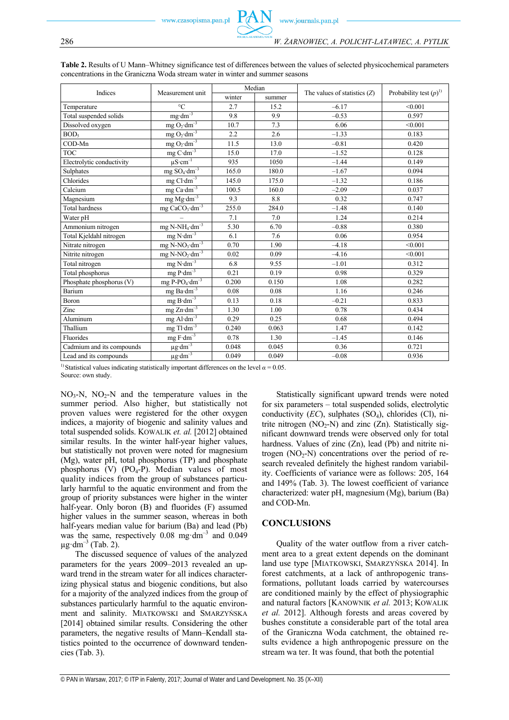| concentrations in the Graniczna Woda stream water in winter and summer seasons |                   |        |        |                                |                            |  |  |  |  |
|--------------------------------------------------------------------------------|-------------------|--------|--------|--------------------------------|----------------------------|--|--|--|--|
| <b>Indices</b>                                                                 | Measurement unit  |        | Median | The values of statistics $(Z)$ | Probability test $(p)^{1}$ |  |  |  |  |
|                                                                                |                   | winter | summer |                                |                            |  |  |  |  |
| Temperature                                                                    | $\sim$            | 2.7    | 15.2   | $-6.17$                        | < 0.001                    |  |  |  |  |
| Total suspended solids                                                         | $me\cdot dm^{-1}$ | 9.8    | 9.9    | $-0.53$                        | 0.597                      |  |  |  |  |
| _ _ _ _                                                                        | .                 |        |        | .                              | .                          |  |  |  |  |

**Table 2.** Results of U Mann–Whitney significance test of differences between the values of selected physicochemical parameters

| Tutal suspended somes     | mg um                                               | $\lambda \cdot$ | ,,,   | —∪.     | 0.321   |
|---------------------------|-----------------------------------------------------|-----------------|-------|---------|---------|
| Dissolved oxygen          | $mgO_2 \cdot dm^{-3}$                               | 10.7            | 7.3   | 6.06    | < 0.001 |
| BOD <sub>5</sub>          | $mg O_2 \cdot dm^{-3}$                              | 2.2             | 2.6   | $-1.33$ | 0.183   |
| COD-Mn                    | mg $O_2 \cdot dm^{-3}$                              | 11.5            | 13.0  | $-0.81$ | 0.420   |
| <b>TOC</b>                | $mg \text{ C} \cdot dm^{-3}$                        | 15.0            | 17.0  | $-1.52$ | 0.128   |
| Electrolytic conductivity | $\mu$ S·cm <sup>-1</sup>                            | 935             | 1050  | $-1.44$ | 0.149   |
| Sulphates                 | mg $SO_4 \cdot dm^{-3}$                             | 165.0           | 180.0 | $-1.67$ | 0.094   |
| Chlorides                 | mg $Cl \cdot dm^{-3}$                               | 145.0           | 175.0 | $-1.32$ | 0.186   |
| Calcium                   | mg Ca $\overline{dm}^{-3}$                          | 100.5           | 160.0 | $-2.09$ | 0.037   |
| Magnesium                 | mg $Mg \cdot dm^{-3}$                               | 9.3             | 8.8   | 0.32    | 0.747   |
| <b>Total hardness</b>     | $mg$ CaCO <sub>3</sub> · $dm^{-3}$                  | 255.0           | 284.0 | $-1.48$ | 0.140   |
| Water pH                  |                                                     | 7.1             | 7.0   | 1.24    | 0.214   |
| Ammonium nitrogen         | $mg$ N-NH <sub>4</sub> $\cdot$ $\overline{dm^{-3}}$ | 5.30            | 6.70  | $-0.88$ | 0.380   |
| Total Kjeldahl nitrogen   | $mg N·dm-3$                                         | 6.1             | 7.6   | 0.06    | 0.954   |
| Nitrate nitrogen          | $mg$ N-NO <sub>3</sub> $dm^{-3}$                    | 0.70            | 1.90  | $-4.18$ | < 0.001 |
| Nitrite nitrogen          | $mg$ N-NO <sub>2</sub> ·dm <sup>-3</sup>            | 0.02            | 0.09  | $-4.16$ | < 0.001 |
| Total nitrogen            | $mg N \cdot dm^{-3}$                                | 6.8             | 9.55  | $-1.01$ | 0.312   |
| Total phosphorus          | $mg P \cdot dm^{-3}$                                | 0.21            | 0.19  | 0.98    | 0.329   |
| Phosphate phosphorus (V)  | mg P-PO <sub>4</sub> $\overline{dm}^{-3}$           | 0.200           | 0.150 | 1.08    | 0.282   |
| Barium                    | $mg$ Ba $\cdot$ dm <sup>-3</sup>                    | 0.08            | 0.08  | 1.16    | 0.246   |
| Boron                     | mg $B \cdot dm^{-3}$                                | 0.13            | 0.18  | $-0.21$ | 0.833   |
| Zinc                      | $mg Zn \cdot dm^{-3}$                               | 1.30            | 1.00  | 0.78    | 0.434   |
| Aluminum                  | $mg$ Al·dm <sup>-3</sup>                            | 0.29            | 0.25  | 0.68    | 0.494   |
| Thallium                  | $mg$ Tl·dm <sup>-3</sup>                            | 0.240           | 0.063 | 1.47    | 0.142   |
| Fluorides                 | mg $\mbox{F}\cdot\mbox{dm}^{-3}$                    | 0.78            | 1.30  | $-1.45$ | 0.146   |
| Cadmium and its compounds | $\mu g \cdot dm^{-3}$                               | 0.048           | 0.045 | 0.36    | 0.721   |
| Lead and its compounds    | $\mu$ g·dm <sup>-3</sup>                            | 0.049           | 0.049 | $-0.08$ | 0.936   |

<sup>1)</sup> Statistical values indicating statistically important differences on the level  $\alpha$  = 0.05. Source: own study.

 $NO<sub>3</sub>-N$ ,  $NO<sub>2</sub>-N$  and the temperature values in the summer period. Also higher, but statistically not proven values were registered for the other oxygen indices, a majority of biogenic and salinity values and total suspended solids. KOWALIK *et. al.* [2012] obtained similar results. In the winter half-year higher values, but statistically not proven were noted for magnesium (Mg), water pH, total phosphorus (TP) and phosphate phosphorus (V)  $(PO_4-P)$ . Median values of most quality indices from the group of substances particularly harmful to the aquatic environment and from the group of priority substances were higher in the winter half-year. Only boron (B) and fluorides (F) assumed higher values in the summer season, whereas in both half-years median value for barium (Ba) and lead (Pb) was the same, respectively  $0.08 \text{ mg} \cdot \text{dm}^{-3}$  and  $0.049$  $\mu$ g·dm<sup>-3</sup> (Tab. 2).

The discussed sequence of values of the analyzed parameters for the years 2009–2013 revealed an upward trend in the stream water for all indices characterizing physical status and biogenic conditions, but also for a majority of the analyzed indices from the group of substances particularly harmful to the aquatic environment and salinity. MIATKOWSKI and SMARZYŃSKA [2014] obtained similar results. Considering the other parameters, the negative results of Mann–Kendall statistics pointed to the occurrence of downward tendencies (Tab. 3).

Statistically significant upward trends were noted for six parameters – total suspended solids, electrolytic conductivity (*EC*), sulphates (SO4), chlorides (Cl), nitrite nitrogen  $(NO<sub>2</sub>-N)$  and zinc  $(Zn)$ . Statistically significant downward trends were observed only for total hardness. Values of zinc (Zn), lead (Pb) and nitrite nitrogen  $(NO<sub>2</sub>-N)$  concentrations over the period of research revealed definitely the highest random variability. Coefficients of variance were as follows: 205, 164 and 149% (Tab. 3). The lowest coefficient of variance characterized: water pH, magnesium (Mg), barium (Ba) and COD-Mn.

#### **CONCLUSIONS**

Quality of the water outflow from a river catchment area to a great extent depends on the dominant land use type [MIATKOWSKI, SMARZYŃSKA 2014]. In forest catchments, at a lack of anthropogenic transformations, pollutant loads carried by watercourses are conditioned mainly by the effect of physiographic and natural factors [KANOWNIK *et al.* 2013; KOWALIK *et al.* 2012]. Although forests and areas covered by bushes constitute a considerable part of the total area of the Graniczna Woda catchment, the obtained results evidence a high anthropogenic pressure on the stream wa ter. It was found, that both the potential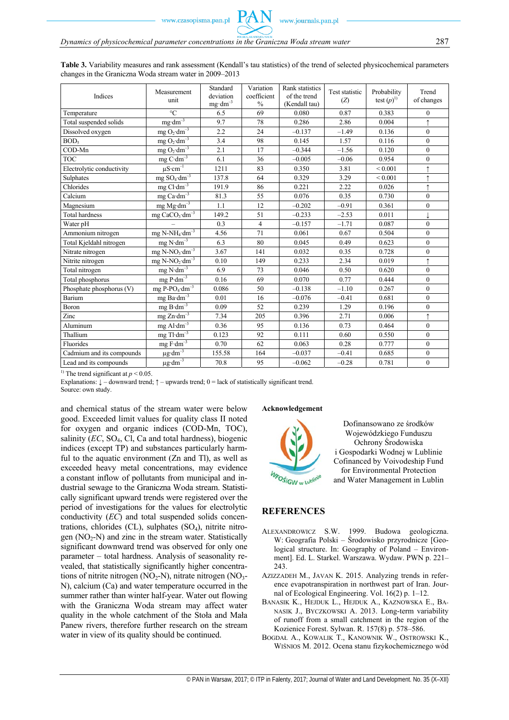**Table 3.** Variability measures and rank assessment (Kendall's tau statistics) of the trend of selected physicochemical parameters changes in the Graniczna Woda stream water in 2009–2013

| Indices                   | Measurement<br>unit                           | Standard<br>deviation<br>$mg \cdot dm^{-3}$ | Variation<br>coefficient<br>$\frac{0}{0}$ | Rank statistics<br>of the trend<br>(Kendall tau) | Test statistic<br>(Z) | Probability<br>test $(p)$ <sup>1)</sup> | Trend<br>of changes |
|---------------------------|-----------------------------------------------|---------------------------------------------|-------------------------------------------|--------------------------------------------------|-----------------------|-----------------------------------------|---------------------|
| Temperature               | $\rm ^{\circ}C$                               | 6.5                                         | 69                                        | 0.080                                            | 0.87                  | 0.383                                   | $\mathbf{0}$        |
| Total suspended solids    | $mg \cdot dm^{-3}$                            | 9.7                                         | 78                                        | 0.286                                            | 2.86                  | 0.004                                   | $\uparrow$          |
| Dissolved oxygen          | $mgO_2 \cdot dm^{-3}$                         | 2.2                                         | 24                                        | $-0.137$                                         | $-1.49$               | 0.136                                   | $\overline{0}$      |
| BOD <sub>5</sub>          | $mg O_2 \cdot dm^{-3}$                        | 3.4                                         | 98                                        | 0.145                                            | 1.57                  | 0.116                                   | $\mathbf{0}$        |
| COD-Mn                    | $mg O_2 \cdot d\overline{m}^{-3}$             | 2.1                                         | 17                                        | $-0.344$                                         | $-1.56$               | 0.120                                   | $\mathbf{0}$        |
| <b>TOC</b>                | $mg C \cdot dm^{-3}$                          | 6.1                                         | 36                                        | $-0.005$                                         | $-0.06$               | 0.954                                   | $\mathbf{0}$        |
| Electrolytic conductivity | $\mu$ S·cm <sup>-1</sup>                      | 1211                                        | 83                                        | 0.350                                            | 3.81                  | ${}_{0.001}$                            | $\uparrow$          |
| Sulphates                 | mg ${\rm SO}_4\,\overline{\rm dm^{-3}}$       | 137.8                                       | 64                                        | 0.329                                            | 3.29                  | ${}_{0.001}$                            |                     |
| Chlorides                 | $mg$ Cl·dm <sup>-3</sup>                      | 191.9                                       | 86                                        | 0.221                                            | 2.22                  | 0.026                                   | $\uparrow$          |
| Calcium                   | $mg$ Ca $\overline{dm^{-3}}$                  | 81.3                                        | 55                                        | 0.076                                            | 0.35                  | 0.730                                   | $\overline{0}$      |
| Magnesium                 | $mgMg\cdot dm^{-3}$                           | 1.1                                         | 12                                        | $-0.202$                                         | $-0.91$               | 0.361                                   | $\mathbf{0}$        |
| <b>Total hardness</b>     | mg $CaCO_3 \cdot \overline{dm^{-3}}$          | 149.2                                       | 51                                        | $-0.233$                                         | $-2.53$               | 0.011                                   |                     |
| Water pH                  |                                               | 0.3                                         | $\overline{4}$                            | $-0.157$                                         | $-1.71$               | 0.087                                   | $\theta$            |
| Ammonium nitrogen         | mg N-NH <sub>4</sub> $\cdot$ dm <sup>-3</sup> | 4.56                                        | 71                                        | 0.061                                            | 0.67                  | 0.504                                   | $\theta$            |
| Total Kjeldahl nitrogen   | mg $N \cdot dm^{-3}$                          | 6.3                                         | 80                                        | 0.045                                            | 0.49                  | 0.623                                   | $\overline{0}$      |
| Nitrate nitrogen          | $mg$ N-NO <sub>3</sub> $dm^{-3}$              | 3.67                                        | 141                                       | 0.032                                            | 0.35                  | 0.728                                   | $\overline{0}$      |
| Nitrite nitrogen          | mg $N-NO_2 \cdot \overline{dm^{-3}}$          | 0.10                                        | 149                                       | 0.233                                            | 2.34                  | 0.019                                   | $\uparrow$          |
| Total nitrogen            | $mg \text{N}\cdot \text{dm}^{-3}$             | 6.9                                         | 73                                        | 0.046                                            | 0.50                  | 0.620                                   | $\theta$            |
| Total phosphorus          | $mg P·dm^{-3}$                                | 0.16                                        | 69                                        | 0.070                                            | 0.77                  | 0.444                                   | $\theta$            |
| Phosphate phosphorus (V)  | mg P-PO <sub>4</sub> $dm^{-3}$                | 0.086                                       | 50                                        | $-0.138$                                         | $-1.10$               | 0.267                                   | $\mathbf{0}$        |
| Barium                    | $mg$ Ba $dm^{-3}$                             | 0.01                                        | 16                                        | $-0.076$                                         | $-0.41$               | 0.681                                   | $\mathbf{0}$        |
| Boron                     | mg $B \cdot dm^{-3}$                          | 0.09                                        | 52                                        | 0.239                                            | 1.29                  | 0.196                                   | $\mathbf{0}$        |
| Zinc                      | $mg Zn \cdot dm^{-3}$                         | 7.34                                        | 205                                       | 0.396                                            | 2.71                  | 0.006                                   | $\uparrow$          |
| Aluminum                  | mg Al· $\overline{dm^{-3}}$                   | 0.36                                        | 95                                        | 0.136                                            | 0.73                  | 0.464                                   | $\overline{0}$      |
| Thallium                  | mg $Tl$ ·dm <sup>-3</sup>                     | 0.123                                       | 92                                        | 0.111                                            | 0.60                  | 0.550                                   | $\mathbf{0}$        |
| Fluorides                 | mg $\mathrm{F\cdot dm^{-3}}$                  | 0.70                                        | 62                                        | 0.063                                            | 0.28                  | 0.777                                   | $\Omega$            |
| Cadmium and its compounds | $\mu$ g·dm <sup>-3</sup>                      | 155.58                                      | 164                                       | $-0.037$                                         | $-0.41$               | 0.685                                   | $\Omega$            |
| Lead and its compounds    | $\mu g \cdot dm^{-3}$                         | 70.8                                        | 95                                        | $-0.062$                                         | $-0.28$               | 0.781                                   | $\theta$            |

<sup>1)</sup> The trend significant at  $p < 0.05$ .

Explanations:  $\downarrow$  – downward trend;  $\uparrow$  – upwards trend; 0 = lack of statistically significant trend.

Source: own study.

and chemical status of the stream water were below good. Exceeded limit values for quality class II noted for oxygen and organic indices (COD-Mn, TOC), salinity  $(EC, SO<sub>4</sub>, Cl, Ca)$  and total hardness), biogenic indices (except TP) and substances particularly harmful to the aquatic environment (Zn and Tl), as well as exceeded heavy metal concentrations, may evidence a constant inflow of pollutants from municipal and industrial sewage to the Graniczna Woda stream. Statistically significant upward trends were registered over the period of investigations for the values for electrolytic conductivity (*EC*) and total suspended solids concentrations, chlorides (CL), sulphates  $(SO<sub>4</sub>)$ , nitrite nitrogen  $(NO<sub>2</sub>-N)$  and zinc in the stream water. Statistically significant downward trend was observed for only one parameter – total hardness. Analysis of seasonality revealed, that statistically significantly higher concentrations of nitrite nitrogen  $(NO<sub>2</sub>-N)$ , nitrate nitrogen  $(NO<sub>3</sub>-$ N), calcium (Ca) and water temperature occurred in the summer rather than winter half-year. Water out flowing with the Graniczna Woda stream may affect water quality in the whole catchment of the Stoła and Mała Panew rivers, therefore further research on the stream water in view of its quality should be continued.

#### **Acknowledgement**



Dofinansowano ze środków Wojewódzkiego Funduszu Ochrony Środowiska i Gospodarki Wodnej w Lublinie Cofinanced by Voivodeship Fund for Environmental Protection and Water Management in Lublin

#### **REFERENCES**

- ALEXANDROWICZ S.W. 1999. Budowa geologiczna. W: Geografia Polski – Środowisko przyrodnicze [Geological structure. In: Geography of Poland – Environment]. Ed. L. Starkel. Warszawa. Wydaw. PWN p. 221– 243.
- AZIZZADEH M., JAVAN K. 2015. Analyzing trends in reference evapotranspiration in northwest part of Iran. Journal of Ecological Engineering. Vol. 16(2) p. 1–12.
- BANASIK K., HEJDUK L., HEJDUK A., KAZNOWSKA E., BA-NASIK J., BYCZKOWSKI A. 2013. Long-term variability of runoff from a small catchment in the region of the Kozienice Forest. Sylwan. R. 157(8) p. 578–586.
- BOGDAŁ A., KOWALIK T., KANOWNIK W., OSTROWSKI K., WIŚNIOS M. 2012. Ocena stanu fizykochemicznego wód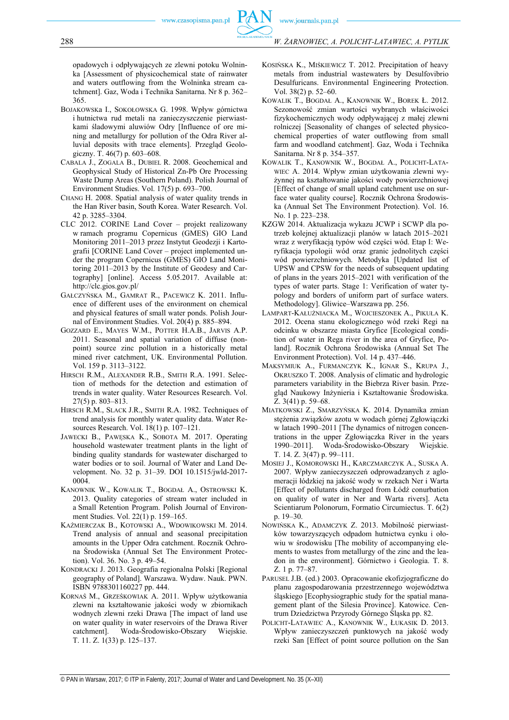opadowych i odpływających ze zlewni potoku Wolninka [Assessment of physicochemical state of rainwater and waters outflowing from the Wolninka stream catchment]. Gaz, Woda i Technika Sanitarna. Nr 8 p. 362– 365.

- BOJAKOWSKa I., SOKOŁOWSKA G. 1998. Wpływ górnictwa i hutnictwa rud metali na zanieczyszczenie pierwiastkami śladowymi aluwiów Odry [Influence of ore mining and metallurgy for pollution of the Odra River alluvial deposits with trace elements]. Przegląd Geologiczny. T. 46(7) p. 603–608.
- CABALA J., ZOGALA B., DUBIEL R. 2008. Geochemical and Geophysical Study of Historical Zn-Pb Ore Processing Waste Dump Areas (Southern Poland). Polish Journal of Environment Studies. Vol. 17(5) p. 693–700.
- CHANG H. 2008. Spatial analysis of water quality trends in the Han River basin, South Korea. Water Research. Vol. 42 p. 3285–3304.
- CLC 2012. CORINE Land Cover projekt realizowany w ramach programu Copernicus (GMES) GIO Land Monitoring 2011–2013 przez Instytut Geodezji i Kartografii [CORINE Land Cover – project implemented under the program Copernicus (GMES) GIO Land Monitoring 2011–2013 by the Institute of Geodesy and Cartography] [online]. Access 5.05.2017. Available at: http://clc.gios.gov.pl/
- GAŁCZYŃSKA M., GAMRAT R., PACEWICZ K. 2011. Influence of different uses of the environment on chemical and physical features of small water ponds. Polish Journal of Environment Studies. Vol. 20(4) p. 885–894.
- GOZZARD E., MAYES W.M., POTTER H.A.B., JARVIS A.P. 2011. Seasonal and spatial variation of diffuse (nonpoint) source zinc pollution in a historically metal mined river catchment, UK. Environmental Pollution. Vol. 159 p. 3113–3122.
- HIRSCH R.M., ALEXANDER R.B., SMITH R.A. 1991. Selection of methods for the detection and estimation of trends in water quality. Water Resources Research. Vol. 27(5) p. 803–813.
- HIRSCH R.M., SLACK J.R., SMITH R.A. 1982. Techniques of trend analysis for monthly water quality data. Water Resources Research. Vol. 18(1) p. 107–121.
- JAWECKI B., PAWĘSKA K., SOBOTA M. 2017. Operating household wastewater treatment plants in the light of binding quality standards for wastewater discharged to water bodies or to soil. Journal of Water and Land Development. No. 32 p. 31–39. DOI 10.1515/jwld-2017- 0004.
- KANOWNIK W., KOWALIK T., BOGDAŁ A., OSTROWSKI K. 2013. Quality categories of stream water included in a Small Retention Program. Polish Journal of Environment Studies. Vol. 22(1) p. 159–165.
- KAŹMIERCZAK B., KOTOWSKI A., WDOWIKOWSKI M. 2014. Trend analysis of annual and seasonal precipitation amounts in the Upper Odra catchment. Rocznik Ochrona Środowiska (Annual Set The Environment Protection). Vol. 36. No. 3 p. 49–54.
- KONDRACKI J. 2013. Geografia regionalna Polski [Regional geography of Poland]. Warszawa. Wydaw. Nauk. PWN. ISBN 9788301160227 pp. 444.
- KORNAŚ M., GRZEŚKOWIAK A. 2011. Wpływ użytkowania zlewni na kształtowanie jakości wody w zbiornikach wodnych zlewni rzeki Drawa [The impact of land use on water quality in water reservoirs of the Drawa River catchment]. Woda-Środowisko-Obszary Wiejskie. T. 11. Z. 1(33) p. 125–137.
- KOSIŃSKA K., MIŚKIEWICZ T. 2012. Precipitation of heavy metals from industrial wastewaters by Desulfovibrio Desulfuricans. Environmental Engineering Protection. Vol. 38(2) p. 52–60.
- KOWALIK T., BOGDAŁ A., KANOWNIK W., BOREK Ł. 2012. Sezonowość zmian wartości wybranych właściwości fizykochemicznych wody odpływającej z małej zlewni rolniczej [Seasonality of changes of selected physicochemical properties of water outflowing from small farm and woodland catchment]. Gaz, Woda i Technika Sanitarna. Nr 8 p. 354–357.
- KOWALIK T., KANOWNIK W., BOGDAŁ A., POLICHT-LATA-WIEC A. 2014. Wpływ zmian użytkowania zlewni wyżynnej na kształtowanie jakości wody powierzchniowej [Effect of change of small upland catchment use on surface water quality course]. Rocznik Ochrona Środowiska (Annual Set The Environment Protection). Vol. 16. No. 1 p. 223–238.
- KZGW 2014. Aktualizacja wykazu JCWP i SCWP dla potrzeb kolejnej aktualizacji planów w latach 2015–2021 wraz z weryfikacją typów wód części wód. Etap I: Weryfikacja typologii wód oraz granic jednolitych części wód powierzchniowych. Metodyka [Updated list of UPSW and CPSW for the needs of subsequent updating of plans in the years 2015–2021 with verification of the types of water parts. Stage 1: Verification of water typology and borders of uniform part of surface waters. Methodology]. Gliwice–Warszawa pp. 256.
- LAMPART-KAŁUŻNIACKA M., WOJCIESZONEK A., PIKUŁA K. 2012. Ocena stanu ekologicznego wód rzeki Regi na odcinku w obszarze miasta Gryfice [Ecological condition of water in Rega river in the area of Gryfice, Poland]. Rocznik Ochrona Środowiska (Annual Set The Environment Protection). Vol. 14 p. 437–446.
- MAKSYMIUK A., FURMANCZYK K., IGNAR S., KRUPA J., OKRUSZKO T. 2008. Analysis of climatic and hydrologic parameters variability in the Biebrza River basin. Przegląd Naukowy Inżynieria i Kształtowanie Środowiska. Z. 3(41) p. 59–68.
- MIATKOWSKI Z., SMARZYŃSKA K. 2014. Dynamika zmian stężenia związków azotu w wodach górnej Zgłowiączki w latach 1990–2011 [The dynamics of nitrogen concentrations in the upper Zgłowiączka River in the years 1990–2011]. Woda-Środowisko-Obszary Wiejskie. T. 14. Z. 3(47) p. 99–111.
- MOSIEJ J., KOMOROWSKI H., KARCZMARCZYK A., SUSKA A. 2007. Wpływ zanieczyszczeń odprowadzanych z aglomeracji łódzkiej na jakość wody w rzekach Ner i Warta [Effect of pollutants discharged from Łódź conurbation on quality of water in Ner and Warta rivers]. Acta Scientiarum Polonorum, Formatio Circumiectus. T. 6(2) p. 19–30.
- NOWIŃSKA K., ADAMCZYK Z. 2013. Mobilność pierwiastków towarzyszących odpadom hutnictwa cynku i ołowiu w środowisku [The mobility of accompanying elements to wastes from metallurgy of the zinc and the leadon in the environment]. Górnictwo i Geologia. T. 8. Z. 1 p. 77–87.
- PARUSEL J.B. (ed.) 2003. Opracowanie ekofizjograficzne do planu zagospodarowania przestrzennego województwa śląskiego [Ecophysiographic study for the spatial management plant of the Silesia Province]. Katowice. Centrum Dziedzictwa Przyrody Górnego Śląska pp. 82.
- POLICHT-LATAWIEC A., KANOWNIK W., ŁUKASIK D. 2013. Wpływ zanieczyszczeń punktowych na jakość wody rzeki San [Effect of point source pollution on the San